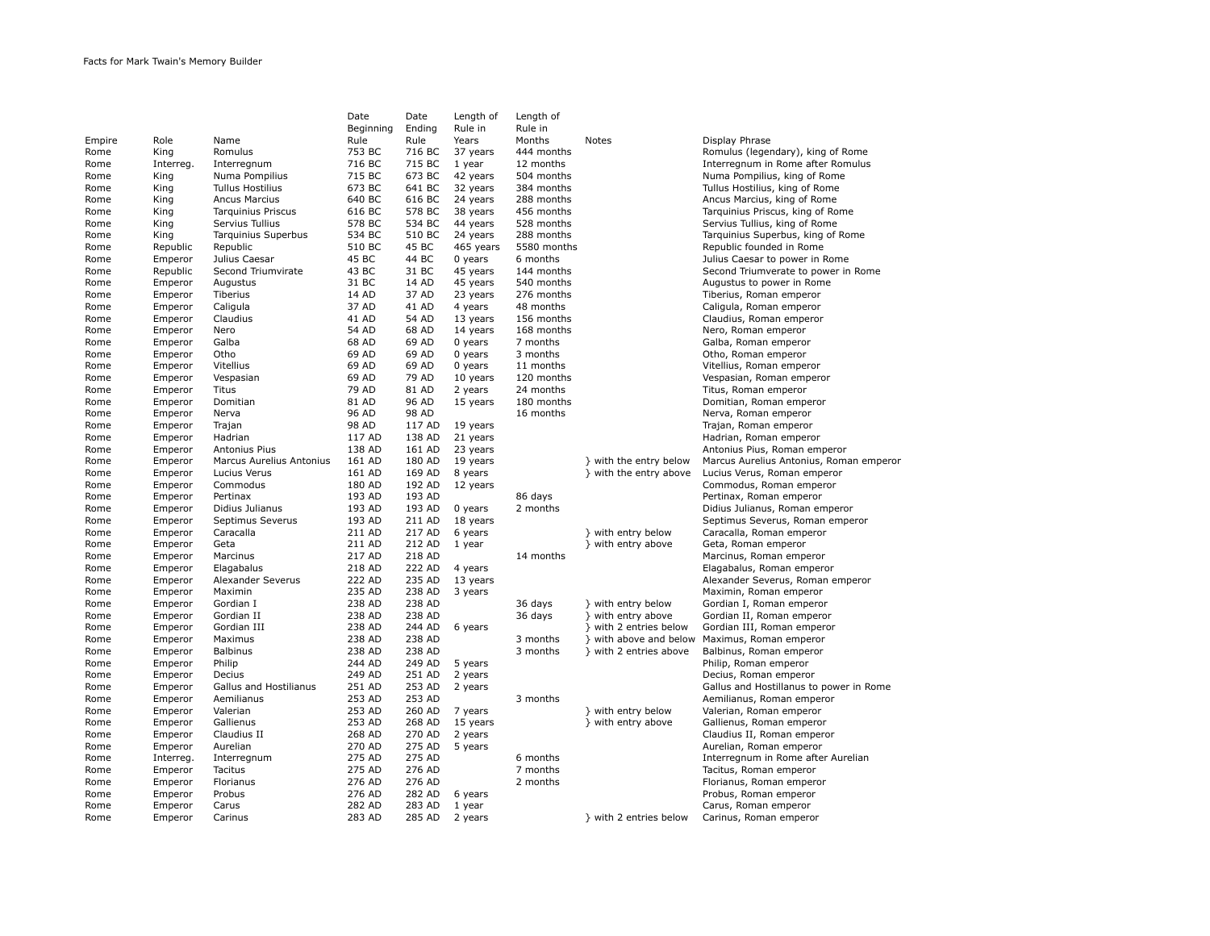|        |           |                          | Date      | Date   | Length of | Length of   |                        |                                         |
|--------|-----------|--------------------------|-----------|--------|-----------|-------------|------------------------|-----------------------------------------|
|        |           |                          | Beginning | Ending | Rule in   | Rule in     |                        |                                         |
| Empire | Role      | Name                     | Rule      | Rule   | Years     | Months      | Notes                  | Display Phrase                          |
| Rome   | King      | Romulus                  | 753 BC    | 716 BC | 37 years  | 444 months  |                        | Romulus (legendary), king of Rome       |
| Rome   | Interreg. | Interregnum              | 716 BC    | 715 BC | 1 year    | 12 months   |                        | Interregnum in Rome after Romulus       |
| Rome   | King      | Numa Pompilius           | 715 BC    | 673 BC | 42 years  | 504 months  |                        | Numa Pompilius, king of Rome            |
| Rome   | King      | <b>Tullus Hostilius</b>  | 673 BC    | 641 BC | 32 years  | 384 months  |                        | Tullus Hostilius, king of Rome          |
| Rome   | King      | <b>Ancus Marcius</b>     | 640 BC    | 616 BC | 24 years  | 288 months  |                        | Ancus Marcius, king of Rome             |
| Rome   | King      | Tarquinius Priscus       | 616 BC    | 578 BC | 38 years  | 456 months  |                        | Tarquinius Priscus, king of Rome        |
| Rome   | King      | Servius Tullius          | 578 BC    | 534 BC | 44 years  | 528 months  |                        | Servius Tullius, king of Rome           |
| Rome   | King      | Tarquinius Superbus      | 534 BC    | 510 BC | 24 years  | 288 months  |                        | Tarquinius Superbus, king of Rome       |
| Rome   | Republic  | Republic                 | 510 BC    | 45 BC  | 465 years | 5580 months |                        | Republic founded in Rome                |
| Rome   | Emperor   | Julius Caesar            | 45 BC     | 44 BC  | $0$ years | 6 months    |                        | Julius Caesar to power in Rome          |
| Rome   | Republic  | Second Triumvirate       | 43 BC     | 31 BC  | 45 years  | 144 months  |                        | Second Triumverate to power in Rome     |
| Rome   | Emperor   | Augustus                 | 31 BC     | 14 AD  | 45 years  | 540 months  |                        | Augustus to power in Rome               |
| Rome   |           | Tiberius                 | 14 AD     | 37 AD  |           | 276 months  |                        |                                         |
|        | Emperor   |                          | 37 AD     |        | 23 years  |             |                        | Tiberius, Roman emperor                 |
| Rome   | Emperor   | Caligula                 |           | 41 AD  | 4 years   | 48 months   |                        | Caligula, Roman emperor                 |
| Rome   | Emperor   | Claudius                 | 41 AD     | 54 AD  | 13 years  | 156 months  |                        | Claudius, Roman emperor                 |
| Rome   | Emperor   | Nero                     | 54 AD     | 68 AD  | 14 years  | 168 months  |                        | Nero, Roman emperor                     |
| Rome   | Emperor   | Galba                    | 68 AD     | 69 AD  | 0 years   | 7 months    |                        | Galba, Roman emperor                    |
| Rome   | Emperor   | Otho                     | 69 AD     | 69 AD  | $0$ years | 3 months    |                        | Otho, Roman emperor                     |
| Rome   | Emperor   | Vitellius                | 69 AD     | 69 AD  | 0 years   | 11 months   |                        | Vitellius, Roman emperor                |
| Rome   | Emperor   | Vespasian                | 69 AD     | 79 AD  | 10 years  | 120 months  |                        | Vespasian, Roman emperor                |
| Rome   | Emperor   | Titus                    | 79 AD     | 81 AD  | 2 years   | 24 months   |                        | Titus, Roman emperor                    |
| Rome   | Emperor   | Domitian                 | 81 AD     | 96 AD  | 15 years  | 180 months  |                        | Domitian, Roman emperor                 |
| Rome   | Emperor   | Nerva                    | 96 AD     | 98 AD  |           | 16 months   |                        | Nerva, Roman emperor                    |
| Rome   | Emperor   | Trajan                   | 98 AD     | 117 AD | 19 years  |             |                        | Trajan, Roman emperor                   |
| Rome   | Emperor   | Hadrian                  | 117 AD    | 138 AD | 21 years  |             |                        | Hadrian, Roman emperor                  |
| Rome   | Emperor   | Antonius Pius            | 138 AD    | 161 AD | 23 years  |             |                        | Antonius Pius, Roman emperor            |
| Rome   | Emperor   | Marcus Aurelius Antonius | 161 AD    | 180 AD | 19 years  |             | } with the entry below | Marcus Aurelius Antonius, Roman emperor |
| Rome   | Emperor   | Lucius Verus             | 161 AD    | 169 AD | 8 years   |             | } with the entry above | Lucius Verus, Roman emperor             |
| Rome   | Emperor   | Commodus                 | 180 AD    | 192 AD | 12 years  |             |                        | Commodus, Roman emperor                 |
| Rome   | Emperor   | Pertinax                 | 193 AD    | 193 AD |           | 86 days     |                        | Pertinax, Roman emperor                 |
| Rome   | Emperor   | Didius Julianus          | 193 AD    | 193 AD | 0 years   | 2 months    |                        | Didius Julianus, Roman emperor          |
| Rome   | Emperor   | Septimus Severus         | 193 AD    | 211 AD | 18 years  |             |                        | Septimus Severus, Roman emperor         |
| Rome   | Emperor   | Caracalla                | 211 AD    | 217 AD | 6 years   |             | } with entry below     | Caracalla, Roman emperor                |
| Rome   | Emperor   | Geta                     | 211 AD    | 212 AD | 1 year    |             | } with entry above     | Geta, Roman emperor                     |
| Rome   | Emperor   | Marcinus                 | 217 AD    | 218 AD |           | 14 months   |                        | Marcinus, Roman emperor                 |
| Rome   | Emperor   | Elagabalus               | 218 AD    | 222 AD | 4 years   |             |                        | Elagabalus, Roman emperor               |
| Rome   | Emperor   | Alexander Severus        | 222 AD    | 235 AD | 13 years  |             |                        | Alexander Severus, Roman emperor        |
| Rome   | Emperor   | Maximin                  | 235 AD    | 238 AD | 3 years   |             |                        | Maximin, Roman emperor                  |
| Rome   | Emperor   | Gordian I                | 238 AD    | 238 AD |           | 36 days     | } with entry below     | Gordian I, Roman emperor                |
| Rome   | Emperor   | Gordian II               | 238 AD    | 238 AD |           | 36 days     | } with entry above     | Gordian II, Roman emperor               |
| Rome   | Emperor   | Gordian III              | 238 AD    | 244 AD | 6 years   |             | } with 2 entries below | Gordian III, Roman emperor              |
| Rome   | Emperor   | Maximus                  | 238 AD    | 238 AD |           | 3 months    | } with above and below | Maximus, Roman emperor                  |
| Rome   | Emperor   | <b>Balbinus</b>          | 238 AD    | 238 AD |           | 3 months    | } with 2 entries above | Balbinus, Roman emperor                 |
| Rome   | Emperor   | Philip                   | 244 AD    | 249 AD | 5 years   |             |                        | Philip, Roman emperor                   |
| Rome   | Emperor   | Decius                   | 249 AD    | 251 AD | 2 years   |             |                        | Decius, Roman emperor                   |
| Rome   | Emperor   | Gallus and Hostilianus   | 251 AD    | 253 AD | 2 years   |             |                        | Gallus and Hostillanus to power in Rome |
| Rome   | Emperor   | Aemilianus               | 253 AD    | 253 AD |           | 3 months    |                        | Aemilianus, Roman emperor               |
| Rome   | Emperor   | Valerian                 | 253 AD    | 260 AD | 7 years   |             | } with entry below     | Valerian, Roman emperor                 |
|        |           | Gallienus                | 253 AD    | 268 AD | 15 years  |             | } with entry above     | Gallienus, Roman emperor                |
| Rome   | Emperor   |                          |           |        |           |             |                        |                                         |
| Rome   | Emperor   | Claudius II              | 268 AD    | 270 AD | 2 years   |             |                        | Claudius II, Roman emperor              |
| Rome   | Emperor   | Aurelian                 | 270 AD    | 275 AD | 5 years   |             |                        | Aurelian, Roman emperor                 |
| Rome   | Interreg. | Interregnum              | 275 AD    | 275 AD |           | 6 months    |                        | Interregnum in Rome after Aurelian      |
| Rome   | Emperor   | Tacitus                  | 275 AD    | 276 AD |           | 7 months    |                        | Tacitus, Roman emperor                  |
| Rome   | Emperor   | Florianus                | 276 AD    | 276 AD |           | 2 months    |                        | Florianus, Roman emperor                |
| Rome   | Emperor   | Probus                   | 276 AD    | 282 AD | 6 years   |             |                        | Probus, Roman emperor                   |
| Rome   | Emperor   | Carus                    | 282 AD    | 283 AD | 1 year    |             |                        | Carus, Roman emperor                    |
| Rome   | Emperor   | Carinus                  | 283 AD    | 285 AD | 2 years   |             | } with 2 entries below | Carinus, Roman emperor                  |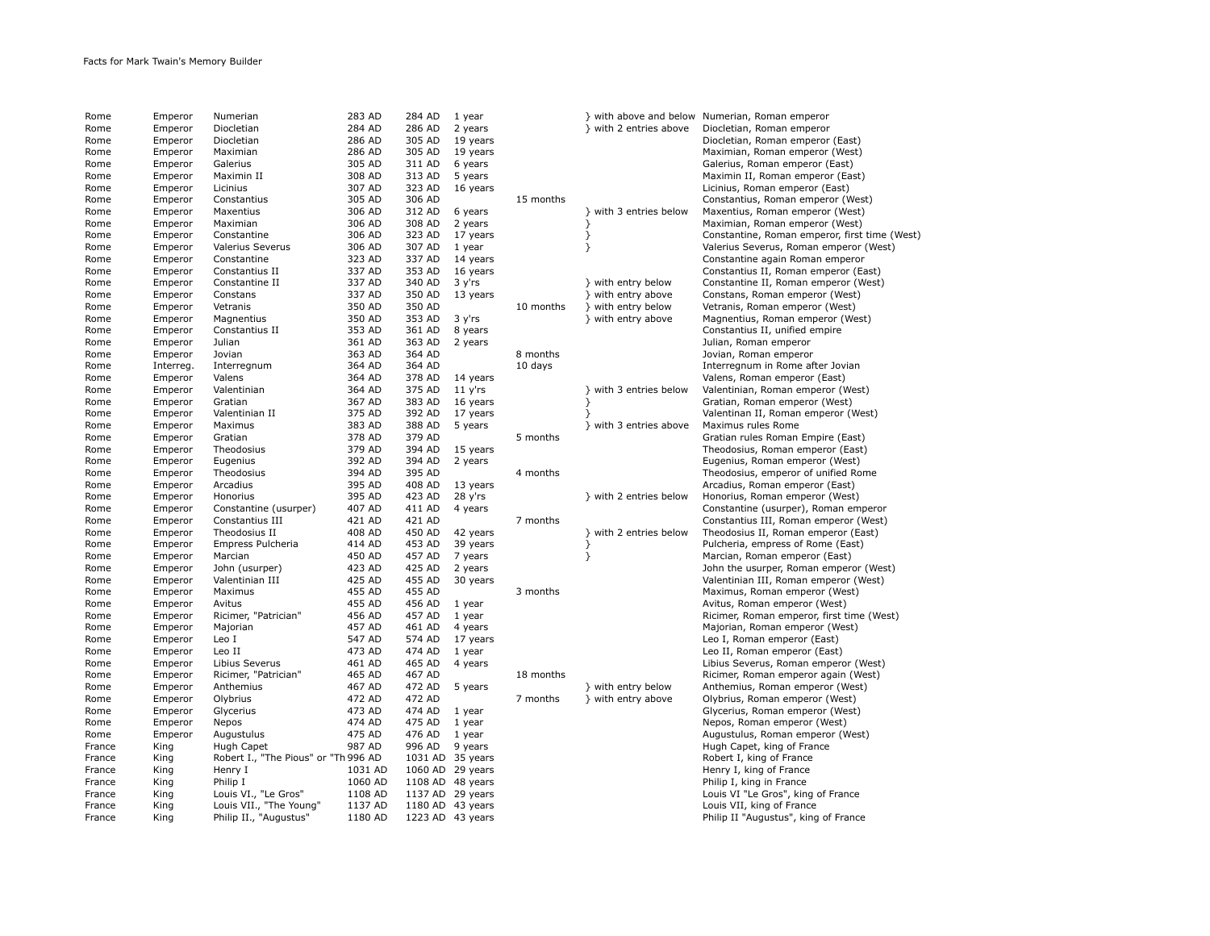| Rome         | Emperor   | Numerian                             | 283 AD  | 284 AD | 1 year           |           |                        | } with above and below Numerian, Roman emperor |
|--------------|-----------|--------------------------------------|---------|--------|------------------|-----------|------------------------|------------------------------------------------|
| Rome         | Emperor   | Diocletian                           | 284 AD  | 286 AD | 2 years          |           | } with 2 entries above | Diocletian, Roman emperor                      |
|              |           |                                      |         |        |                  |           |                        |                                                |
| Rome         | Emperor   | Diocletian                           | 286 AD  | 305 AD | 19 years         |           |                        | Diocletian, Roman emperor (East)               |
| Rome         | Emperor   | Maximian                             | 286 AD  | 305 AD | 19 years         |           |                        | Maximian, Roman emperor (West)                 |
| Rome         | Emperor   | Galerius                             | 305 AD  | 311 AD | 6 years          |           |                        | Galerius, Roman emperor (East)                 |
| Rome         | Emperor   | Maximin II                           | 308 AD  | 313 AD | 5 years          |           |                        | Maximin II, Roman emperor (East)               |
| Rome         | Emperor   | Licinius                             | 307 AD  | 323 AD | 16 years         |           |                        | Licinius, Roman emperor (East)                 |
| Rome         | Emperor   | Constantius                          | 305 AD  | 306 AD |                  | 15 months |                        | Constantius, Roman emperor (West)              |
| Rome         | Emperor   | Maxentius                            | 306 AD  | 312 AD | 6 years          |           | } with 3 entries below | Maxentius, Roman emperor (West)                |
| Rome         | Emperor   | Maximian                             | 306 AD  | 308 AD | 2 years          |           | }                      | Maximian, Roman emperor (West)                 |
| Rome         | Emperor   | Constantine                          | 306 AD  | 323 AD | 17 years         |           | }                      | Constantine, Roman emperor, first time (West)  |
| Rome         | Emperor   | Valerius Severus                     | 306 AD  | 307 AD | 1 year           |           | }                      | Valerius Severus, Roman emperor (West)         |
| Rome         | Emperor   | Constantine                          | 323 AD  | 337 AD | 14 years         |           |                        | Constantine again Roman emperor                |
| Rome         | Emperor   | Constantius II                       | 337 AD  | 353 AD | 16 years         |           |                        | Constantius II, Roman emperor (East)           |
| Rome         | Emperor   | Constantine II                       | 337 AD  | 340 AD | 3 y'rs           |           | } with entry below     | Constantine II, Roman emperor (West)           |
| Rome         | Emperor   | Constans                             | 337 AD  | 350 AD | 13 years         |           | } with entry above     | Constans, Roman emperor (West)                 |
| Rome         | Emperor   | Vetranis                             | 350 AD  | 350 AD |                  | 10 months | } with entry below     | Vetranis, Roman emperor (West)                 |
| Rome         | Emperor   | Magnentius                           | 350 AD  | 353 AD | 3 y'rs           |           | } with entry above     | Magnentius, Roman emperor (West)               |
| Rome         | Emperor   | Constantius II                       | 353 AD  | 361 AD | 8 years          |           |                        | Constantius II, unified empire                 |
| Rome         | Emperor   | Julian                               | 361 AD  | 363 AD | 2 years          |           |                        | Julian, Roman emperor                          |
| Rome         | Emperor   | Jovian                               | 363 AD  | 364 AD |                  | 8 months  |                        | Jovian, Roman emperor                          |
|              |           |                                      | 364 AD  | 364 AD |                  | 10 days   |                        | Interregnum in Rome after Jovian               |
| Rome         | Interreg. | Interregnum                          | 364 AD  | 378 AD |                  |           |                        |                                                |
| Rome         | Emperor   | Valens                               |         |        | 14 years         |           |                        | Valens, Roman emperor (East)                   |
| Rome         | Emperor   | Valentinian                          | 364 AD  | 375 AD | $11 y'$ rs       |           | } with 3 entries below | Valentinian, Roman emperor (West)              |
| Rome         | Emperor   | Gratian                              | 367 AD  | 383 AD | 16 years         |           | }                      | Gratian, Roman emperor (West)                  |
| Rome         | Emperor   | Valentinian II                       | 375 AD  | 392 AD | 17 years         |           | ł                      | Valentinan II, Roman emperor (West)            |
| Rome         | Emperor   | Maximus                              | 383 AD  | 388 AD | 5 years          |           | } with 3 entries above | Maximus rules Rome                             |
| Rome         | Emperor   | Gratian                              | 378 AD  | 379 AD |                  | 5 months  |                        | Gratian rules Roman Empire (East)              |
| Rome         | Emperor   | Theodosius                           | 379 AD  | 394 AD | 15 years         |           |                        | Theodosius, Roman emperor (East)               |
| Rome         | Emperor   | Eugenius                             | 392 AD  | 394 AD | 2 years          |           |                        | Eugenius, Roman emperor (West)                 |
| Rome         | Emperor   | Theodosius                           | 394 AD  | 395 AD |                  | 4 months  |                        | Theodosius, emperor of unified Rome            |
| Rome         | Emperor   | Arcadius                             | 395 AD  | 408 AD | 13 years         |           |                        | Arcadius, Roman emperor (East)                 |
| Rome         | Emperor   | Honorius                             | 395 AD  | 423 AD | 28 y'rs          |           | } with 2 entries below | Honorius, Roman emperor (West)                 |
| Rome         | Emperor   | Constantine (usurper)                | 407 AD  | 411 AD | 4 years          |           |                        | Constantine (usurper), Roman emperor           |
| Rome         | Emperor   | Constantius III                      | 421 AD  | 421 AD |                  | 7 months  |                        | Constantius III, Roman emperor (West)          |
| Rome         | Emperor   | Theodosius II                        | 408 AD  | 450 AD | 42 years         |           | } with 2 entries below | Theodosius II, Roman emperor (East)            |
| Rome         | Emperor   | Empress Pulcheria                    | 414 AD  | 453 AD | 39 years         |           | }                      | Pulcheria, empress of Rome (East)              |
| Rome         | Emperor   | Marcian                              | 450 AD  | 457 AD | 7 years          |           | }                      | Marcian, Roman emperor (East)                  |
| Rome         | Emperor   | John (usurper)                       | 423 AD  | 425 AD | 2 years          |           |                        | John the usurper, Roman emperor (West)         |
| Rome         | Emperor   | Valentinian III                      | 425 AD  | 455 AD | 30 years         |           |                        | Valentinian III, Roman emperor (West)          |
| Rome         | Emperor   | Maximus                              | 455 AD  | 455 AD |                  | 3 months  |                        | Maximus, Roman emperor (West)                  |
| Rome         | Emperor   | Avitus                               | 455 AD  | 456 AD | 1 year           |           |                        | Avitus, Roman emperor (West)                   |
| Rome         | Emperor   | Ricimer, "Patrician"                 | 456 AD  | 457 AD | 1 year           |           |                        | Ricimer, Roman emperor, first time (West)      |
| Rome         | Emperor   | Majorian                             | 457 AD  | 461 AD | 4 years          |           |                        | Majorian, Roman emperor (West)                 |
| Rome         | Emperor   | Leo I                                | 547 AD  | 574 AD | 17 years         |           |                        | Leo I, Roman emperor (East)                    |
| Rome         | Emperor   | Leo II                               | 473 AD  | 474 AD | 1 year           |           |                        | Leo II, Roman emperor (East)                   |
| Rome         | Emperor   | Libius Severus                       | 461 AD  | 465 AD | 4 years          |           |                        | Libius Severus, Roman emperor (West)           |
| Rome         | Emperor   | Ricimer, "Patrician"                 | 465 AD  | 467 AD |                  | 18 months |                        | Ricimer, Roman emperor again (West)            |
|              | Emperor   | Anthemius                            | 467 AD  | 472 AD | 5 years          |           | } with entry below     | Anthemius, Roman emperor (West)                |
| Rome<br>Rome | Emperor   |                                      | 472 AD  | 472 AD |                  | 7 months  | } with entry above     |                                                |
|              |           | Olybrius                             |         |        |                  |           |                        | Olybrius, Roman emperor (West)                 |
| Rome         | Emperor   | Glycerius                            | 473 AD  | 474 AD | 1 year           |           |                        | Glycerius, Roman emperor (West)                |
| Rome         | Emperor   | Nepos                                | 474 AD  | 475 AD | 1 year           |           |                        | Nepos, Roman emperor (West)                    |
| Rome         | Emperor   | Augustulus                           | 475 AD  | 476 AD | 1 year           |           |                        | Augustulus, Roman emperor (West)               |
| France       | King      | Hugh Capet                           | 987 AD  | 996 AD | 9 years          |           |                        | Hugh Capet, king of France                     |
| France       | King      | Robert I., "The Pious" or "Th 996 AD |         |        | 1031 AD 35 years |           |                        | Robert I, king of France                       |
| France       | King      | Henry I                              | 1031 AD |        | 1060 AD 29 years |           |                        | Henry I, king of France                        |
| France       | King      | Philip I                             | 1060 AD |        | 1108 AD 48 years |           |                        | Philip I, king in France                       |
| France       | King      | Louis VI., "Le Gros"                 | 1108 AD |        | 1137 AD 29 years |           |                        | Louis VI "Le Gros", king of France             |
| France       | King      | Louis VII., "The Young"              | 1137 AD |        | 1180 AD 43 years |           |                        | Louis VII, king of France                      |
| France       | King      | Philip II., "Augustus"               | 1180 AD |        | 1223 AD 43 years |           |                        | Philip II "Augustus", king of France           |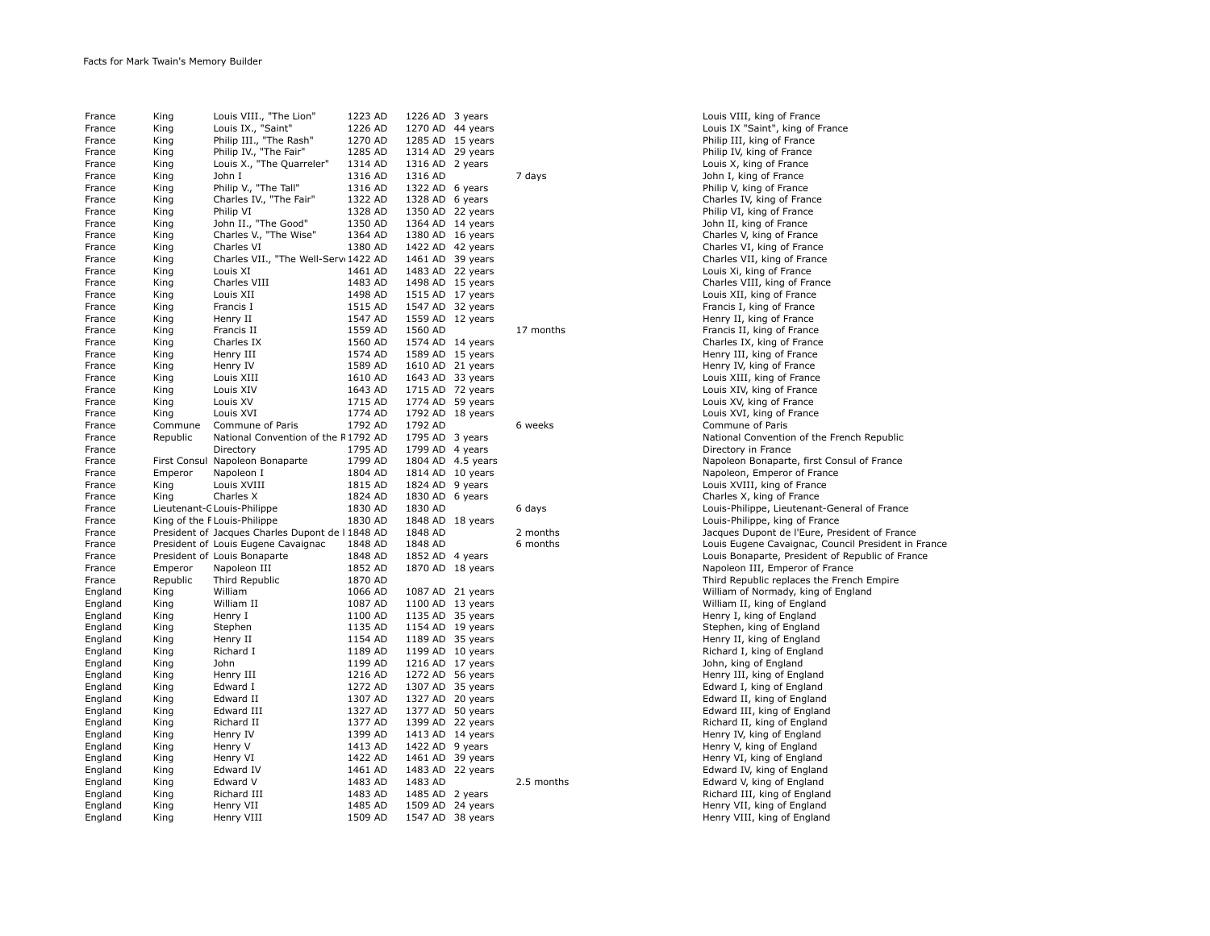| France  | King     | Louis VIII., "The Lion"                          | 1223 AD | 1226 AD          | 3 years   |            |
|---------|----------|--------------------------------------------------|---------|------------------|-----------|------------|
| France  | King     | Louis IX., "Saint"                               | 1226 AD | 1270 AD          | 44 years  |            |
| France  | King     | Philip III., "The Rash"                          | 1270 AD | 1285 AD          | 15 years  |            |
| France  | King     | Philip IV., "The Fair"                           | 1285 AD | 1314 AD          | 29 years  |            |
| France  | King     | Louis X., "The Quarreler"                        | 1314 AD | 1316 AD          | 2 years   |            |
| France  | King     | John I                                           | 1316 AD | 1316 AD          |           | 7 days     |
| France  | King     | Philip V., "The Tall"                            | 1316 AD | 1322 AD          | 6 years   |            |
|         |          |                                                  | 1322 AD | 1328 AD          |           |            |
| France  | King     | Charles IV., "The Fair"                          |         |                  | 6 years   |            |
| France  | King     | Philip VI                                        | 1328 AD | 1350 AD          | 22 years  |            |
| France  | King     | John II., "The Good"                             | 1350 AD | 1364 AD          | 14 years  |            |
| France  | King     | Charles V., "The Wise"                           | 1364 AD | 1380 AD          | 16 years  |            |
| France  | King     | Charles VI                                       | 1380 AD | 1422 AD 42 years |           |            |
| France  | King     | Charles VII., "The Well-Serv: 1422 AD            |         | 1461 AD          | 39 years  |            |
| France  | King     | Louis XI                                         | 1461 AD | 1483 AD          | 22 years  |            |
| France  | King     | Charles VIII                                     | 1483 AD | 1498 AD          | 15 years  |            |
| France  | King     | Louis XII                                        | 1498 AD | 1515 AD          | 17 years  |            |
| France  | King     | Francis I                                        | 1515 AD | 1547 AD          | 32 years  |            |
| France  | King     | Henry II                                         | 1547 AD | 1559 AD          | 12 years  |            |
| France  | King     | Francis II                                       | 1559 AD | 1560 AD          |           | 17 months  |
| France  | King     | Charles IX                                       | 1560 AD | 1574 AD          | 14 years  |            |
| France  | King     | Henry III                                        | 1574 AD | 1589 AD          | 15 years  |            |
| France  | King     | Henry IV                                         | 1589 AD | 1610 AD          | 21 years  |            |
| France  | King     | Louis XIII                                       | 1610 AD | 1643 AD          | 33 years  |            |
| France  | King     | Louis XIV                                        | 1643 AD | 1715 AD          | 72 years  |            |
| France  | King     | Louis XV                                         | 1715 AD | 1774 AD          | 59 years  |            |
|         |          |                                                  | 1774 AD | 1792 AD          |           |            |
| France  | King     | Louis XVI                                        |         |                  | 18 years  |            |
| France  | Commune  | Commune of Paris                                 | 1792 AD | 1792 AD          |           | 6 weeks    |
| France  | Republic | National Convention of the R1792 AD              |         | 1795 AD          | 3 years   |            |
| France  |          | Directory                                        | 1795 AD | 1799 AD          | 4 years   |            |
| France  |          | First Consul Napoleon Bonaparte                  | 1799 AD | 1804 AD          | 4.5 years |            |
| France  | Emperor  | Napoleon I                                       | 1804 AD | 1814 AD          | 10 years  |            |
| France  | King     | Louis XVIII                                      | 1815 AD | 1824 AD          | 9 years   |            |
| France  | King     | Charles X                                        | 1824 AD | 1830 AD          | 6 years   |            |
| France  |          | Lieutenant-C Louis-Philippe                      | 1830 AD | 1830 AD          |           | 6 days     |
| France  |          | King of the F Louis-Philippe                     | 1830 AD | 1848 AD          | 18 years  |            |
| France  |          | President of Jacques Charles Dupont de I 1848 AD |         | 1848 AD          |           | 2 months   |
| France  |          | President of Louis Eugene Cavaignac              | 1848 AD | 1848 AD          |           | 6 months   |
| France  |          | President of Louis Bonaparte                     | 1848 AD | 1852 AD          | 4 years   |            |
| France  | Emperor  | Napoleon III                                     | 1852 AD | 1870 AD          | 18 years  |            |
| France  | Republic | Third Republic                                   | 1870 AD |                  |           |            |
| England | King     | William                                          | 1066 AD | 1087 AD          | 21 years  |            |
| England | King     | William II                                       | 1087 AD | 1100 AD          | 13 years  |            |
| England | King     | Henry I                                          | 1100 AD | 1135 AD          | 35 years  |            |
| England | King     | Stephen                                          | 1135 AD | 1154 AD          | 19 years  |            |
|         |          |                                                  | 1154 AD | 1189 AD          |           |            |
| England | King     | Henry II                                         | 1189 AD | 1199 AD          | 35 years  |            |
| England | King     | Richard I                                        |         |                  | 10 years  |            |
| England | King     | John                                             | 1199 AD | 1216 AD          | 17 years  |            |
| England | King     | Henry III                                        | 1216 AD | 1272 AD          | 56 years  |            |
| England | King     | Edward I                                         | 1272 AD | 1307 AD          | 35 years  |            |
| England | King     | Edward II                                        | 1307 AD | 1327 AD          | 20 years  |            |
| England | King     | Edward III                                       | 1327 AD | 1377 AD          | 50 years  |            |
| England | King     | Richard II                                       | 1377 AD | 1399 AD          | 22 years  |            |
| England | King     | Henry IV                                         | 1399 AD | 1413 AD          | 14 years  |            |
| England | King     | Henry V                                          | 1413 AD | 1422 AD          | 9 years   |            |
| England | King     | Henry VI                                         | 1422 AD | 1461 AD          | 39 years  |            |
| England | King     | Edward IV                                        | 1461 AD | 1483 AD          | 22 years  |            |
| England | King     | Edward V                                         | 1483 AD | 1483 AD          |           | 2.5 months |
| England | King     | Richard III                                      | 1483 AD | 1485 AD          | 2 years   |            |
| England | King     | Henry VII                                        | 1485 AD | 1509 AD          | 24 years  |            |
| England | King     | Henry VIII                                       | 1509 AD | 1547 AD          | 38 years  |            |
|         |          |                                                  |         |                  |           |            |

Louis VIII, king of France Louis IX "Saint", king of France Philip III, king of France Philip IV, king of France France E., king of France John I, king of France Philip V. king of France Charles IV, king of France Philip VI, king of France John II, king of France Charles V, king of France Charles VI, king of France Charles VII. king of France Louis Xi, king of France Charles VIII, king of France Louis XII, king of France Francis I, king of France Henry II, king of France Francis II, king of France Charles IX, king of France Henry III, king of France Henry IV, king of France Louis XIII, king of France Louis XIV, king of France Louis XV, king of France Louis XVI, king of France Commune of Paris National Convention of the French Republic Directory in France Napoleon Bonaparte, first Consul of France Napoleon, Emperor of France Louis XVIII, king of France Charles X, king of France Louis-Philippe, Lieutenant-General of France Louis-Philippe, king of France Jacques Dupont de l'Eure, President of France Louis Eugene Cavaignac, Council President in France Louis Bonaparte, President of Republic of France Napoleon III, Emperor of France Third Republic replaces the French Empire William of Normady, king of England William II, king of England Henry I, king of England Stephen, king of England Henry II, king of England Richard I, king of England John, king of England Henry III, king of England Edward I, king of England Edward II, king of England Edward III, king of England Richard II, king of England Henry IV, king of England Henry V, king of England Henry VI, king of England Edward IV, king of England Edward V, king of England Richard III, king of England Henry VII, king of England Henry VIII, king of England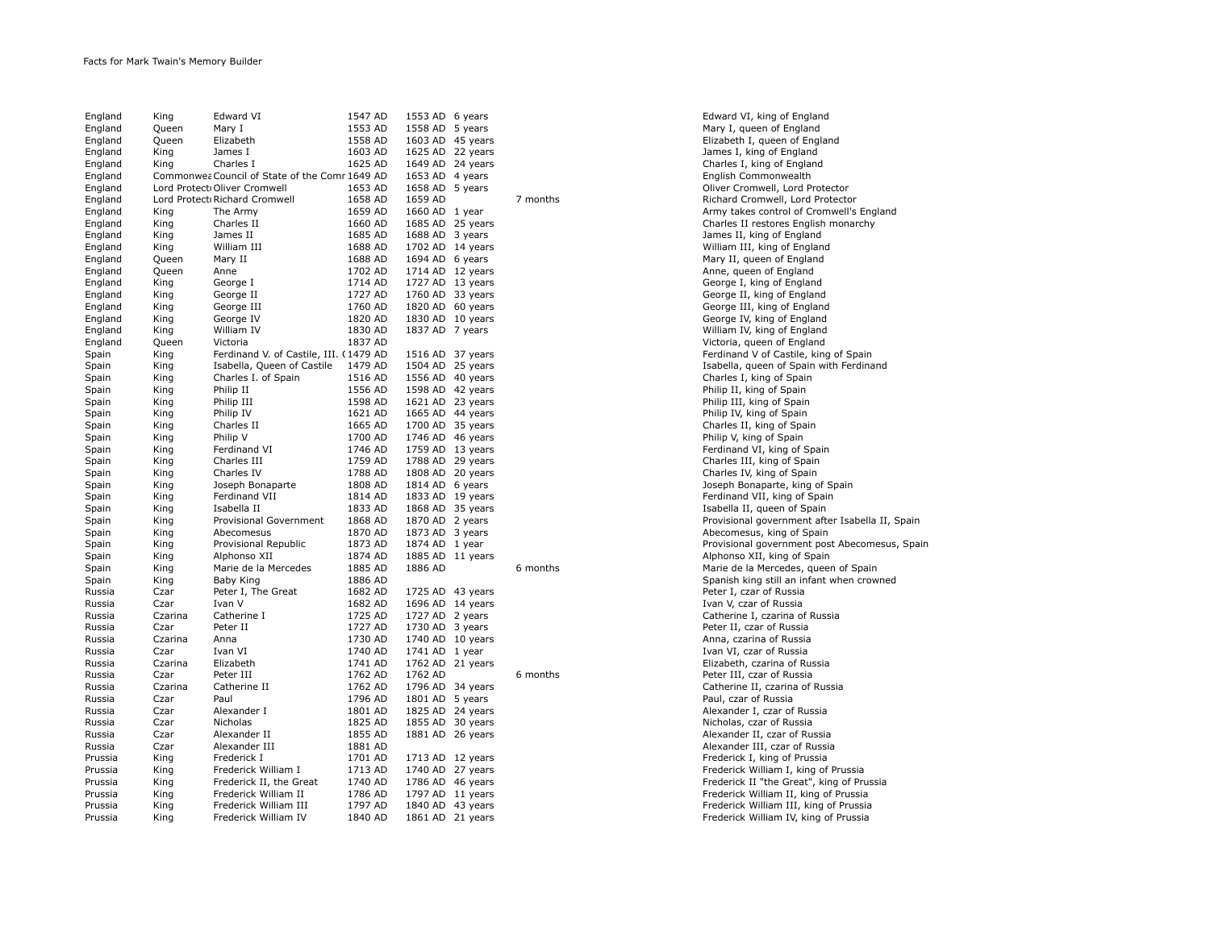| England | King    | Edward VI                                      | 1547 AD | 1553 AD | 6 years  |          |
|---------|---------|------------------------------------------------|---------|---------|----------|----------|
| England | Queen   | Mary I                                         | 1553 AD | 1558 AD | 5 years  |          |
| England | Queen   | Elizabeth                                      | 1558 AD | 1603 AD | 45 years |          |
| England | King    | James I                                        | 1603 AD | 1625 AD | 22 years |          |
| England | King    | Charles I                                      | 1625 AD | 1649 AD | 24 years |          |
| England |         | Commonwea Council of State of the Comr 1649 AD |         | 1653 AD | 4 years  |          |
| England |         | Lord Protect Oliver Cromwell                   | 1653 AD | 1658 AD | 5 years  |          |
| England |         | Lord Protect Richard Cromwell                  | 1658 AD | 1659 AD |          | 7 months |
| England | King    | The Army                                       | 1659 AD | 1660 AD | 1 year   |          |
| England | King    | Charles II                                     | 1660 AD | 1685 AD | 25 years |          |
| England | King    | James II                                       | 1685 AD | 1688 AD | 3 years  |          |
| England | King    | William III                                    | 1688 AD | 1702 AD | 14 years |          |
| England | Queen   | Mary II                                        | 1688 AD | 1694 AD | 6 years  |          |
|         |         | Anne                                           | 1702 AD | 1714 AD |          |          |
| England | Queen   |                                                |         |         | 12 years |          |
| England | King    | George I                                       | 1714 AD | 1727 AD | 13 years |          |
| England | King    | George II                                      | 1727 AD | 1760 AD | 33 years |          |
| England | King    | George III                                     | 1760 AD | 1820 AD | 60 years |          |
| England | King    | George IV                                      | 1820 AD | 1830 AD | 10 years |          |
| England | King    | William IV                                     | 1830 AD | 1837 AD | 7 years  |          |
| England | Queen   | Victoria                                       | 1837 AD |         |          |          |
| Spain   | King    | Ferdinand V. of Castile, III. (1479 AD         |         | 1516 AD | 37 years |          |
| Spain   | King    | Isabella, Queen of Castile                     | 1479 AD | 1504 AD | 25 years |          |
| Spain   | King    | Charles I. of Spain                            | 1516 AD | 1556 AD | 40 years |          |
| Spain   | King    | Philip II                                      | 1556 AD | 1598 AD | 42 years |          |
| Spain   | King    | Philip III                                     | 1598 AD | 1621 AD | 23 years |          |
| Spain   | King    | Philip IV                                      | 1621 AD | 1665 AD | 44 years |          |
| Spain   | King    | Charles II                                     | 1665 AD | 1700 AD | 35 years |          |
| Spain   | King    | Philip V                                       | 1700 AD | 1746 AD | 46 years |          |
| Spain   | King    | Ferdinand VI                                   | 1746 AD | 1759 AD | 13 years |          |
| Spain   | King    | Charles III                                    | 1759 AD | 1788 AD | 29 years |          |
| Spain   | King    | Charles IV                                     | 1788 AD | 1808 AD | 20 years |          |
| Spain   | King    | Joseph Bonaparte                               | 1808 AD | 1814 AD | 6 years  |          |
| Spain   | King    | Ferdinand VII                                  | 1814 AD | 1833 AD | 19 years |          |
| Spain   | King    | Isabella II                                    | 1833 AD | 1868 AD | 35 years |          |
| Spain   | King    | <b>Provisional Government</b>                  | 1868 AD | 1870 AD | 2 years  |          |
| Spain   | King    | Abecomesus                                     | 1870 AD | 1873 AD | 3 years  |          |
| Spain   | King    | Provisional Republic                           | 1873 AD | 1874 AD | 1 year   |          |
| Spain   | King    | Alphonso XII                                   | 1874 AD | 1885 AD | 11 years |          |
| Spain   | King    | Marie de la Mercedes                           | 1885 AD | 1886 AD |          | 6 months |
|         |         |                                                |         |         |          |          |
| Spain   | King    | Baby King                                      | 1886 AD |         |          |          |
| Russia  | Czar    | Peter I, The Great                             | 1682 AD | 1725 AD | 43 years |          |
| Russia  | Czar    | Ivan V                                         | 1682 AD | 1696 AD | 14 years |          |
| Russia  | Czarina | Catherine I                                    | 1725 AD | 1727 AD | 2 years  |          |
| Russia  | Czar    | Peter II                                       | 1727 AD | 1730 AD | 3 years  |          |
| Russia  | Czarina | Anna                                           | 1730 AD | 1740 AD | 10 years |          |
| Russia  | Czar    | Ivan VI                                        | 1740 AD | 1741 AD | 1 year   |          |
| Russia  | Czarina | Elizabeth                                      | 1741 AD | 1762 AD | 21 years |          |
| Russia  | Czar    | Peter III                                      | 1762 AD | 1762 AD |          | 6 months |
| Russia  | Czarina | Catherine II                                   | 1762 AD | 1796 AD | 34 years |          |
| Russia  | Czar    | Paul                                           | 1796 AD | 1801 AD | 5 years  |          |
| Russia  | Czar    | Alexander I                                    | 1801 AD | 1825 AD | 24 years |          |
| Russia  | Czar    | Nicholas                                       | 1825 AD | 1855 AD | 30 years |          |
| Russia  | Czar    | Alexander II                                   | 1855 AD | 1881 AD | 26 years |          |
| Russia  | Czar    | Alexander III                                  | 1881 AD |         |          |          |
| Prussia | King    | Frederick I                                    | 1701 AD | 1713 AD | 12 years |          |
| Prussia | King    | Frederick William I                            | 1713 AD | 1740 AD | 27 years |          |
| Prussia | King    | Frederick II, the Great                        | 1740 AD | 1786 AD | 46 years |          |
| Prussia | King    | Frederick William II                           | 1786 AD | 1797 AD | 11 years |          |
| Prussia | King    | Frederick William III                          | 1797 AD | 1840 AD | 43 years |          |
| Prussia | King    | Frederick William IV                           | 1840 AD | 1861 AD | 21 years |          |
|         |         |                                                |         |         |          |          |

Edward VI, king of England Mary I, queen of England Elizabeth I, queen of England James I, king of England Charles I, king of England English Commonwealth Oliver Cromwell, Lord Protector Richard Cromwell, Lord Protector Army takes control of Cromwell's England Charles II restores English monarchy James II, king of England William III, king of England Mary II, queen of England Anne, queen of England George I, king of England George II, king of England George III, king of England George IV, king of England William IV, king of England Victoria, queen of England Ferdinand V of Castile, king of Spain Isabella, queen of Spain with Ferdinand Charles I. king of Spain Philip II, king of Spain Philip III, king of Spain Philip IV, king of Spain Charles II, king of Spain Philip V, king of Spain Ferdinand VI, king of Spain Charles III, king of Spain Charles IV, king of Spain Joseph Bonaparte, king of Spain Ferdinand VII, king of Spain Isabella II, queen of Spain Provisional government after Isabella II, Spain Abecomesus, king of Spain Provisional government post Abecomesus, Spain Alphonso XII, king of Spain Marie de la Mercedes, queen of Spain Spanish king still an infant when crowned Peter I, czar of Russia Ivan V, czar of Russia Catherine I, czarina of Russia Peter II, czar of Russia Anna, czarina of Russia Ivan VI, czar of Russia Elizabeth, czarina of Russia Peter III, czar of Russia Catherine II, czarina of Russia Paul, czar of Russia Alexander I, czar of Russia Nicholas, czar of Russia Alexander II, czar of Russia Alexander III, czar of Russia Frederick I, king of Prussia Frederick William I, king of Prussia Frederick II "the Great", king of Prussia Frederick William II, king of Prussia Frederick William III, king of Prussia Frederick William IV, king of Prussia